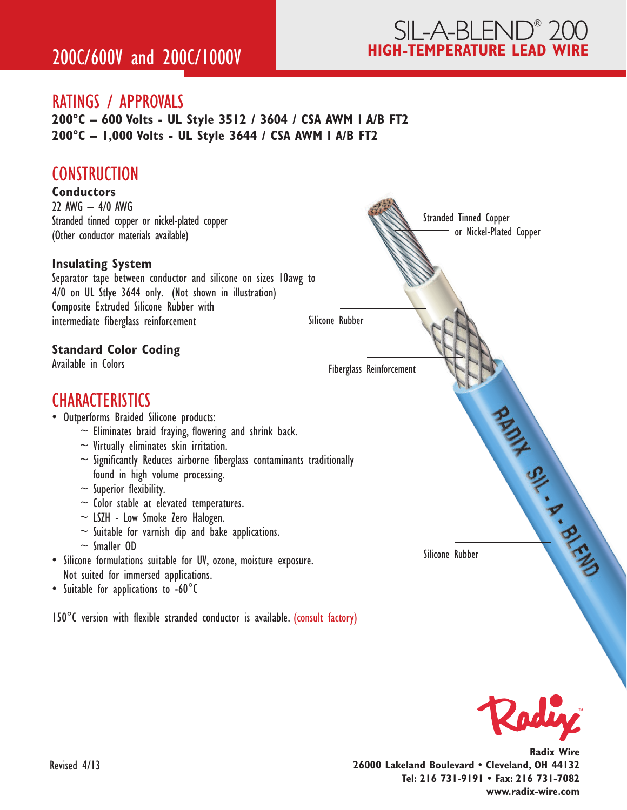### RATINGS / APPROVALS

**200°C – 600 Volts - UL Style 3512 / 3604 / CSA AWM I A/B FT2 200°C – 1,000 Volts - UL Style 3644 / CSA AWM I A/B FT2**

### **CONSTRUCTION**





**Radix Wire 26000 Lakeland Boulevard • Cleveland, OH 44132 Tel: 216 731-9191 • Fax: 216 731-7082 www.radix-wire.com**